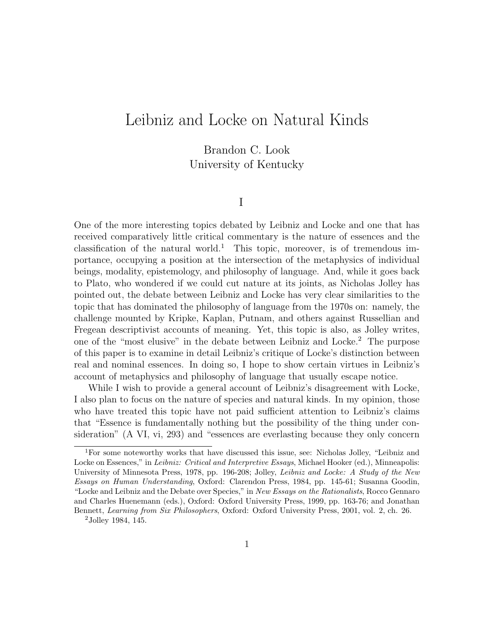# Leibniz and Locke on Natural Kinds

Brandon C. Look University of Kentucky

## I

One of the more interesting topics debated by Leibniz and Locke and one that has received comparatively little critical commentary is the nature of essences and the classification of the natural world.<sup>1</sup> This topic, moreover, is of tremendous importance, occupying a position at the intersection of the metaphysics of individual beings, modality, epistemology, and philosophy of language. And, while it goes back to Plato, who wondered if we could cut nature at its joints, as Nicholas Jolley has pointed out, the debate between Leibniz and Locke has very clear similarities to the topic that has dominated the philosophy of language from the 1970s on: namely, the challenge mounted by Kripke, Kaplan, Putnam, and others against Russellian and Fregean descriptivist accounts of meaning. Yet, this topic is also, as Jolley writes, one of the "most elusive" in the debate between Leibniz and Locke.<sup>2</sup> The purpose of this paper is to examine in detail Leibniz's critique of Locke's distinction between real and nominal essences. In doing so, I hope to show certain virtues in Leibniz's account of metaphysics and philosophy of language that usually escape notice.

While I wish to provide a general account of Leibniz's disagreement with Locke, I also plan to focus on the nature of species and natural kinds. In my opinion, those who have treated this topic have not paid sufficient attention to Leibniz's claims that "Essence is fundamentally nothing but the possibility of the thing under consideration" (A VI, vi, 293) and "essences are everlasting because they only concern

 $2Jolley$  1984, 145.

<sup>1</sup>For some noteworthy works that have discussed this issue, see: Nicholas Jolley, "Leibniz and Locke on Essences," in Leibniz: Critical and Interpretive Essays, Michael Hooker (ed.), Minneapolis: University of Minnesota Press, 1978, pp. 196-208; Jolley, Leibniz and Locke: A Study of the New Essays on Human Understanding, Oxford: Clarendon Press, 1984, pp. 145-61; Susanna Goodin, "Locke and Leibniz and the Debate over Species," in New Essays on the Rationalists, Rocco Gennaro and Charles Huenemann (eds.), Oxford: Oxford University Press, 1999, pp. 163-76; and Jonathan Bennett, Learning from Six Philosophers, Oxford: Oxford University Press, 2001, vol. 2, ch. 26.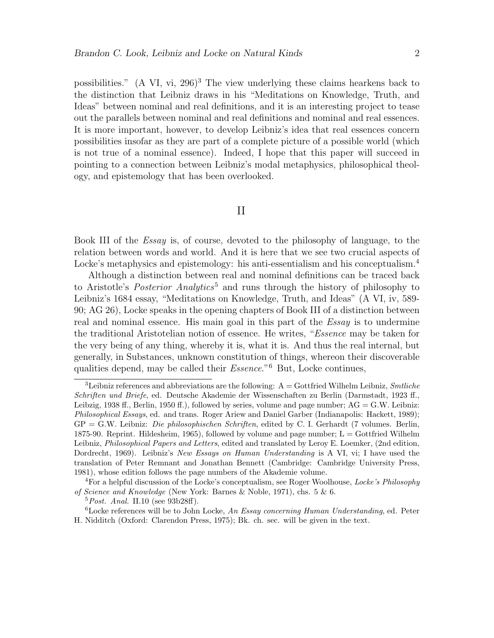possibilities."  $(A \text{ VI}, \text{vi}, 296)^3$  The view underlying these claims hearkens back to the distinction that Leibniz draws in his "Meditations on Knowledge, Truth, and Ideas" between nominal and real definitions, and it is an interesting project to tease out the parallels between nominal and real definitions and nominal and real essences. It is more important, however, to develop Leibniz's idea that real essences concern possibilities insofar as they are part of a complete picture of a possible world (which is not true of a nominal essence). Indeed, I hope that this paper will succeed in pointing to a connection between Leibniz's modal metaphysics, philosophical theology, and epistemology that has been overlooked.

### II

Book III of the Essay is, of course, devoted to the philosophy of language, to the relation between words and world. And it is here that we see two crucial aspects of Locke's metaphysics and epistemology: his anti-essentialism and his conceptualism.<sup>4</sup>

Although a distinction between real and nominal definitions can be traced back to Aristotle's *Posterior Analytics*<sup>5</sup> and runs through the history of philosophy to Leibniz's 1684 essay, "Meditations on Knowledge, Truth, and Ideas" (A VI, iv, 589- 90; AG 26), Locke speaks in the opening chapters of Book III of a distinction between real and nominal essence. His main goal in this part of the *Essay* is to undermine the traditional Aristotelian notion of essence. He writes, "Essence may be taken for the very being of any thing, whereby it is, what it is. And thus the real internal, but generally, in Substances, unknown constitution of things, whereon their discoverable qualities depend, may be called their Essence."<sup>6</sup> But, Locke continues,

 $5$ Post. Anal. II.10 (see 93b28ff).

<sup>&</sup>lt;sup>3</sup>Leibniz references and abbreviations are the following:  $A = Gottfried$  Wilhelm Leibniz, *Smtliche* Schriften und Briefe, ed. Deutsche Akademie der Wissenschaften zu Berlin (Darmstadt, 1923 ff., Leibzig, 1938 ff., Berlin, 1950 ff.), followed by series, volume and page number; AG = G.W. Leibniz: Philosophical Essays, ed. and trans. Roger Ariew and Daniel Garber (Indianapolis: Hackett, 1989);  $GP = G.W.$  Leibniz: *Die philosophischen Schriften*, edited by C. I. Gerhardt (7 volumes. Berlin, 1875-90. Reprint. Hildesheim, 1965), followed by volume and page number;  $L = Gottfried$  Wilhelm Leibniz, *Philosophical Papers and Letters*, edited and translated by Leroy E. Loemker, (2nd edition, Dordrecht, 1969). Leibniz's New Essays on Human Understanding is A VI, vi; I have used the translation of Peter Remnant and Jonathan Bennett (Cambridge: Cambridge University Press, 1981), whose edition follows the page numbers of the Akademie volume.

<sup>&</sup>lt;sup>4</sup>For a helpful discussion of the Locke's conceptualism, see Roger Woolhouse, *Locke's Philosophy* of Science and Knowledge (New York: Barnes & Noble, 1971), chs. 5 & 6.

 $6$ Locke references will be to John Locke, An Essay concerning Human Understanding, ed. Peter H. Nidditch (Oxford: Clarendon Press, 1975); Bk. ch. sec. will be given in the text.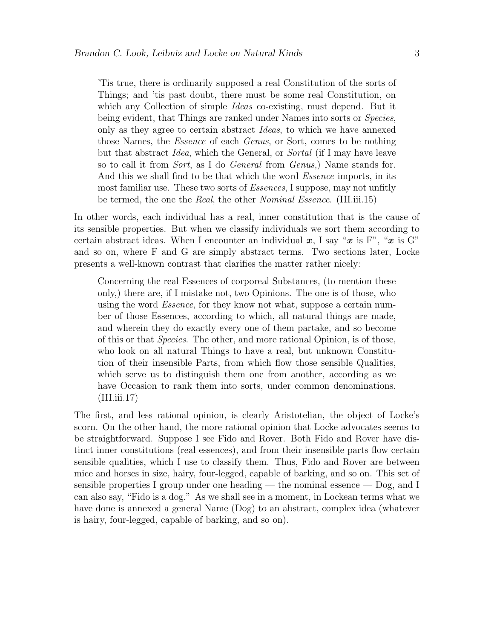'Tis true, there is ordinarily supposed a real Constitution of the sorts of Things; and 'tis past doubt, there must be some real Constitution, on which any Collection of simple *Ideas* co-existing, must depend. But it being evident, that Things are ranked under Names into sorts or Species, only as they agree to certain abstract Ideas, to which we have annexed those Names, the Essence of each Genus, or Sort, comes to be nothing but that abstract Idea, which the General, or Sortal (if I may have leave so to call it from Sort, as I do General from Genus,) Name stands for. And this we shall find to be that which the word *Essence* imports, in its most familiar use. These two sorts of *Essences*, I suppose, may not unfitly be termed, the one the Real, the other Nominal Essence. (III.iii.15)

In other words, each individual has a real, inner constitution that is the cause of its sensible properties. But when we classify individuals we sort them according to certain abstract ideas. When I encounter an individual  $x$ , I say " $x$  is F", " $x$  is G" and so on, where F and G are simply abstract terms. Two sections later, Locke presents a well-known contrast that clarifies the matter rather nicely:

Concerning the real Essences of corporeal Substances, (to mention these only,) there are, if I mistake not, two Opinions. The one is of those, who using the word *Essence*, for they know not what, suppose a certain number of those Essences, according to which, all natural things are made, and wherein they do exactly every one of them partake, and so become of this or that Species. The other, and more rational Opinion, is of those, who look on all natural Things to have a real, but unknown Constitution of their insensible Parts, from which flow those sensible Qualities, which serve us to distinguish them one from another, according as we have Occasion to rank them into sorts, under common denominations.  $(III.iii.17)$ 

The first, and less rational opinion, is clearly Aristotelian, the object of Locke's scorn. On the other hand, the more rational opinion that Locke advocates seems to be straightforward. Suppose I see Fido and Rover. Both Fido and Rover have distinct inner constitutions (real essences), and from their insensible parts flow certain sensible qualities, which I use to classify them. Thus, Fido and Rover are between mice and horses in size, hairy, four-legged, capable of barking, and so on. This set of sensible properties I group under one heading — the nominal essence —  $\log$ , and I can also say, "Fido is a dog." As we shall see in a moment, in Lockean terms what we have done is annexed a general Name (Dog) to an abstract, complex idea (whatever is hairy, four-legged, capable of barking, and so on).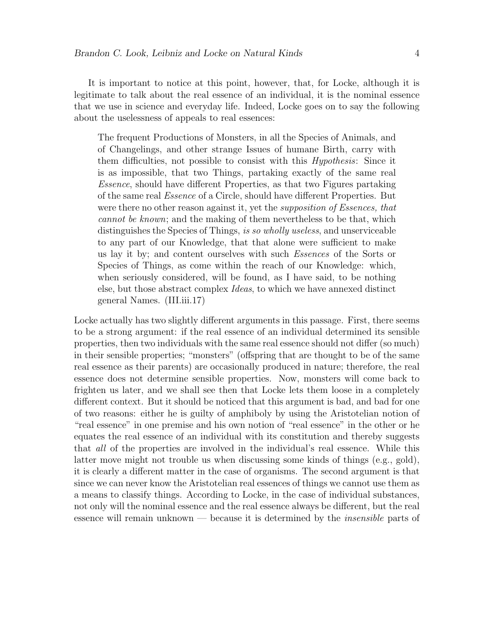It is important to notice at this point, however, that, for Locke, although it is legitimate to talk about the real essence of an individual, it is the nominal essence that we use in science and everyday life. Indeed, Locke goes on to say the following about the uselessness of appeals to real essences:

The frequent Productions of Monsters, in all the Species of Animals, and of Changelings, and other strange Issues of humane Birth, carry with them difficulties, not possible to consist with this Hypothesis: Since it is as impossible, that two Things, partaking exactly of the same real Essence, should have different Properties, as that two Figures partaking of the same real Essence of a Circle, should have different Properties. But were there no other reason against it, yet the *supposition of Essences*, that cannot be known; and the making of them nevertheless to be that, which distinguishes the Species of Things, is so wholly useless, and unserviceable to any part of our Knowledge, that that alone were sufficient to make us lay it by; and content ourselves with such Essences of the Sorts or Species of Things, as come within the reach of our Knowledge: which, when seriously considered, will be found, as I have said, to be nothing else, but those abstract complex Ideas, to which we have annexed distinct general Names. (III.iii.17)

Locke actually has two slightly different arguments in this passage. First, there seems to be a strong argument: if the real essence of an individual determined its sensible properties, then two individuals with the same real essence should not differ (so much) in their sensible properties; "monsters" (offspring that are thought to be of the same real essence as their parents) are occasionally produced in nature; therefore, the real essence does not determine sensible properties. Now, monsters will come back to frighten us later, and we shall see then that Locke lets them loose in a completely different context. But it should be noticed that this argument is bad, and bad for one of two reasons: either he is guilty of amphiboly by using the Aristotelian notion of "real essence" in one premise and his own notion of "real essence" in the other or he equates the real essence of an individual with its constitution and thereby suggests that all of the properties are involved in the individual's real essence. While this latter move might not trouble us when discussing some kinds of things (e.g., gold), it is clearly a different matter in the case of organisms. The second argument is that since we can never know the Aristotelian real essences of things we cannot use them as a means to classify things. According to Locke, in the case of individual substances, not only will the nominal essence and the real essence always be different, but the real essence will remain unknown — because it is determined by the *insensible* parts of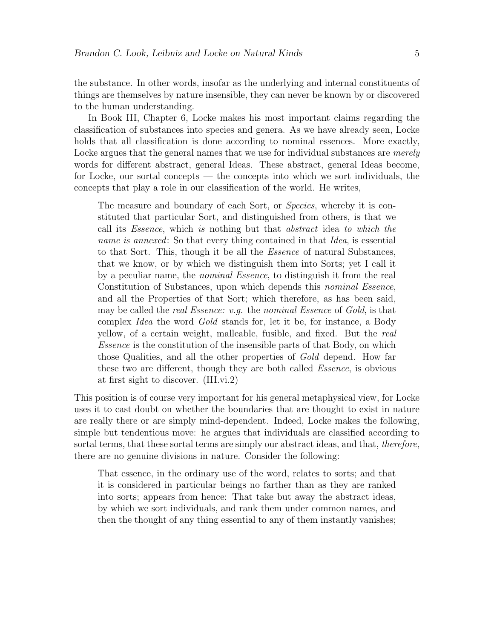the substance. In other words, insofar as the underlying and internal constituents of things are themselves by nature insensible, they can never be known by or discovered to the human understanding.

In Book III, Chapter 6, Locke makes his most important claims regarding the classification of substances into species and genera. As we have already seen, Locke holds that all classification is done according to nominal essences. More exactly, Locke argues that the general names that we use for individual substances are *merely* words for different abstract, general Ideas. These abstract, general Ideas become, for Locke, our sortal concepts — the concepts into which we sort individuals, the concepts that play a role in our classification of the world. He writes,

The measure and boundary of each Sort, or *Species*, whereby it is constituted that particular Sort, and distinguished from others, is that we call its Essence, which is nothing but that abstract idea to which the name is annexed: So that every thing contained in that Idea, is essential to that Sort. This, though it be all the Essence of natural Substances, that we know, or by which we distinguish them into Sorts; yet I call it by a peculiar name, the nominal Essence, to distinguish it from the real Constitution of Substances, upon which depends this nominal Essence, and all the Properties of that Sort; which therefore, as has been said, may be called the *real Essence: v.g.* the *nominal Essence* of *Gold*, is that complex Idea the word Gold stands for, let it be, for instance, a Body yellow, of a certain weight, malleable, fusible, and fixed. But the real Essence is the constitution of the insensible parts of that Body, on which those Qualities, and all the other properties of Gold depend. How far these two are different, though they are both called Essence, is obvious at first sight to discover. (III.vi.2)

This position is of course very important for his general metaphysical view, for Locke uses it to cast doubt on whether the boundaries that are thought to exist in nature are really there or are simply mind-dependent. Indeed, Locke makes the following, simple but tendentious move: he argues that individuals are classified according to sortal terms, that these sortal terms are simply our abstract ideas, and that, *therefore*, there are no genuine divisions in nature. Consider the following:

That essence, in the ordinary use of the word, relates to sorts; and that it is considered in particular beings no farther than as they are ranked into sorts; appears from hence: That take but away the abstract ideas, by which we sort individuals, and rank them under common names, and then the thought of any thing essential to any of them instantly vanishes;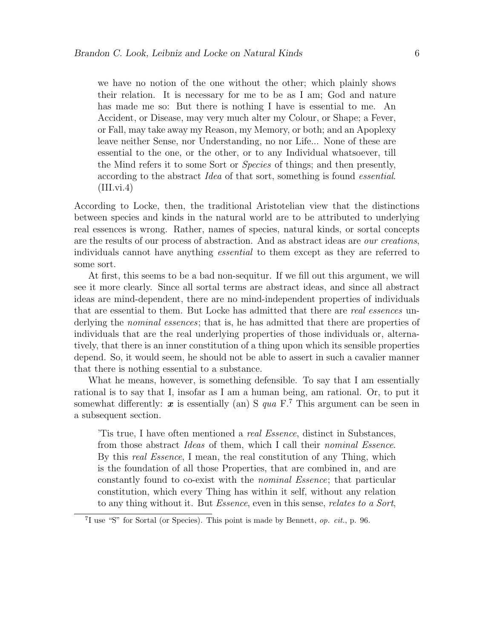we have no notion of the one without the other; which plainly shows their relation. It is necessary for me to be as I am; God and nature has made me so: But there is nothing I have is essential to me. An Accident, or Disease, may very much alter my Colour, or Shape; a Fever, or Fall, may take away my Reason, my Memory, or both; and an Apoplexy leave neither Sense, nor Understanding, no nor Life... None of these are essential to the one, or the other, or to any Individual whatsoever, till the Mind refers it to some Sort or Species of things; and then presently, according to the abstract Idea of that sort, something is found essential.  $(III.vi.4)$ 

According to Locke, then, the traditional Aristotelian view that the distinctions between species and kinds in the natural world are to be attributed to underlying real essences is wrong. Rather, names of species, natural kinds, or sortal concepts are the results of our process of abstraction. And as abstract ideas are *our creations*, individuals cannot have anything essential to them except as they are referred to some sort.

At first, this seems to be a bad non-sequitur. If we fill out this argument, we will see it more clearly. Since all sortal terms are abstract ideas, and since all abstract ideas are mind-dependent, there are no mind-independent properties of individuals that are essential to them. But Locke has admitted that there are *real essences* underlying the *nominal essences*; that is, he has admitted that there are properties of individuals that are the real underlying properties of those individuals or, alternatively, that there is an inner constitution of a thing upon which its sensible properties depend. So, it would seem, he should not be able to assert in such a cavalier manner that there is nothing essential to a substance.

What he means, however, is something defensible. To say that I am essentially rational is to say that I, insofar as I am a human being, am rational. Or, to put it somewhat differently:  $x$  is essentially (an) S qua F.<sup>7</sup> This argument can be seen in a subsequent section.

'Tis true, I have often mentioned a real Essence, distinct in Substances, from those abstract Ideas of them, which I call their nominal Essence. By this real Essence, I mean, the real constitution of any Thing, which is the foundation of all those Properties, that are combined in, and are constantly found to co-exist with the nominal Essence; that particular constitution, which every Thing has within it self, without any relation to any thing without it. But Essence, even in this sense, relates to a Sort,

<sup>&</sup>lt;sup>7</sup>I use "S" for Sortal (or Species). This point is made by Bennett, *op. cit.*, p. 96.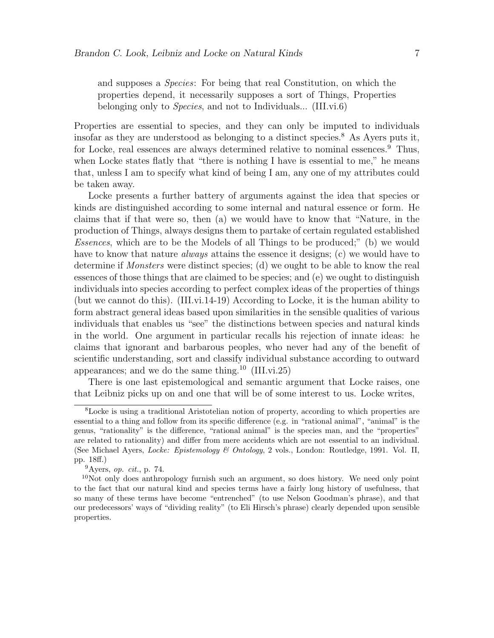and supposes a Species: For being that real Constitution, on which the properties depend, it necessarily supposes a sort of Things, Properties belonging only to Species, and not to Individuals... (III.vi.6)

Properties are essential to species, and they can only be imputed to individuals insofar as they are understood as belonging to a distinct species.<sup>8</sup> As Ayers puts it, for Locke, real essences are always determined relative to nominal essences. $\overline{9}$  Thus, when Locke states flatly that "there is nothing I have is essential to me," he means that, unless I am to specify what kind of being I am, any one of my attributes could be taken away.

Locke presents a further battery of arguments against the idea that species or kinds are distinguished according to some internal and natural essence or form. He claims that if that were so, then (a) we would have to know that "Nature, in the production of Things, always designs them to partake of certain regulated established Essences, which are to be the Models of all Things to be produced;" (b) we would have to know that nature *always* attains the essence it designs; (c) we would have to determine if Monsters were distinct species; (d) we ought to be able to know the real essences of those things that are claimed to be species; and (e) we ought to distinguish individuals into species according to perfect complex ideas of the properties of things (but we cannot do this). (III.vi.14-19) According to Locke, it is the human ability to form abstract general ideas based upon similarities in the sensible qualities of various individuals that enables us "see" the distinctions between species and natural kinds in the world. One argument in particular recalls his rejection of innate ideas: he claims that ignorant and barbarous peoples, who never had any of the benefit of scientific understanding, sort and classify individual substance according to outward appearances; and we do the same thing.<sup>10</sup> (III.vi.25)

There is one last epistemological and semantic argument that Locke raises, one that Leibniz picks up on and one that will be of some interest to us. Locke writes,

<sup>8</sup>Locke is using a traditional Aristotelian notion of property, according to which properties are essential to a thing and follow from its specific difference (e.g. in "rational animal", "animal" is the genus, "rationality" is the difference, "rational animal" is the species man, and the "properties" are related to rationality) and differ from mere accidents which are not essential to an individual. (See Michael Ayers, Locke: Epistemology & Ontology, 2 vols., London: Routledge, 1991. Vol. II, pp. 18ff.)

 $9$ Ayers, *op. cit.*, p. 74.

 $10$ Not only does anthropology furnish such an argument, so does history. We need only point to the fact that our natural kind and species terms have a fairly long history of usefulness, that so many of these terms have become "entrenched" (to use Nelson Goodman's phrase), and that our predecessors' ways of "dividing reality" (to Eli Hirsch's phrase) clearly depended upon sensible properties.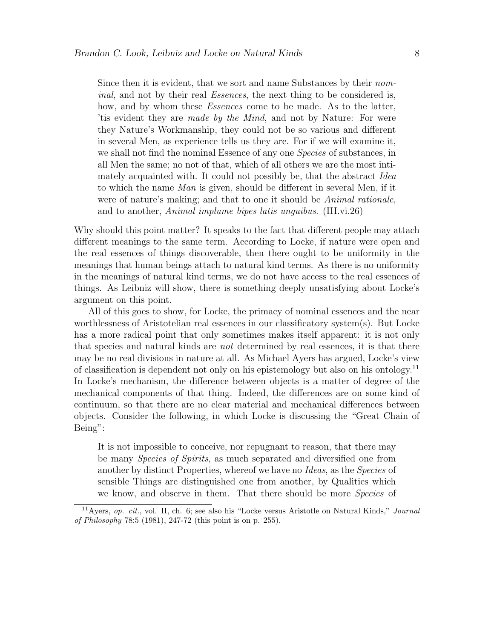Since then it is evident, that we sort and name Substances by their nominal, and not by their real *Essences*, the next thing to be considered is, how, and by whom these *Essences* come to be made. As to the latter, 'tis evident they are made by the Mind, and not by Nature: For were they Nature's Workmanship, they could not be so various and different in several Men, as experience tells us they are. For if we will examine it, we shall not find the nominal Essence of any one Species of substances, in all Men the same; no not of that, which of all others we are the most intimately acquainted with. It could not possibly be, that the abstract Idea to which the name Man is given, should be different in several Men, if it were of nature's making; and that to one it should be Animal rationale, and to another, Animal implume bipes latis unguibus. (III.vi.26)

Why should this point matter? It speaks to the fact that different people may attach different meanings to the same term. According to Locke, if nature were open and the real essences of things discoverable, then there ought to be uniformity in the meanings that human beings attach to natural kind terms. As there is no uniformity in the meanings of natural kind terms, we do not have access to the real essences of things. As Leibniz will show, there is something deeply unsatisfying about Locke's argument on this point.

All of this goes to show, for Locke, the primacy of nominal essences and the near worthlessness of Aristotelian real essences in our classificatory system(s). But Locke has a more radical point that only sometimes makes itself apparent: it is not only that species and natural kinds are not determined by real essences, it is that there may be no real divisions in nature at all. As Michael Ayers has argued, Locke's view of classification is dependent not only on his epistemology but also on his ontology.<sup>11</sup> In Locke's mechanism, the difference between objects is a matter of degree of the mechanical components of that thing. Indeed, the differences are on some kind of continuum, so that there are no clear material and mechanical differences between objects. Consider the following, in which Locke is discussing the "Great Chain of Being":

It is not impossible to conceive, nor repugnant to reason, that there may be many Species of Spirits, as much separated and diversified one from another by distinct Properties, whereof we have no Ideas, as the Species of sensible Things are distinguished one from another, by Qualities which we know, and observe in them. That there should be more *Species* of

 $11$ Ayers, *op. cit.*, vol. II, ch. 6; see also his "Locke versus Aristotle on Natural Kinds," *Journal* of Philosophy 78:5 (1981), 247-72 (this point is on p. 255).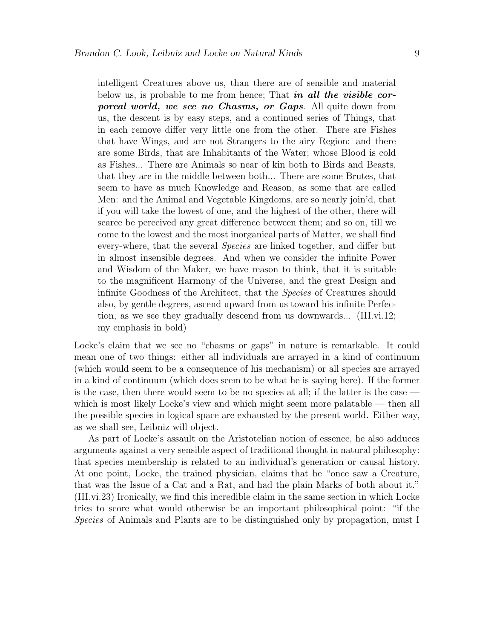intelligent Creatures above us, than there are of sensible and material below us, is probable to me from hence; That in all the visible corporeal world, we see no Chasms, or Gaps. All quite down from us, the descent is by easy steps, and a continued series of Things, that in each remove differ very little one from the other. There are Fishes that have Wings, and are not Strangers to the airy Region: and there are some Birds, that are Inhabitants of the Water; whose Blood is cold as Fishes... There are Animals so near of kin both to Birds and Beasts, that they are in the middle between both... There are some Brutes, that seem to have as much Knowledge and Reason, as some that are called Men: and the Animal and Vegetable Kingdoms, are so nearly join'd, that if you will take the lowest of one, and the highest of the other, there will scarce be perceived any great difference between them; and so on, till we come to the lowest and the most inorganical parts of Matter, we shall find every-where, that the several Species are linked together, and differ but in almost insensible degrees. And when we consider the infinite Power and Wisdom of the Maker, we have reason to think, that it is suitable to the magnificent Harmony of the Universe, and the great Design and infinite Goodness of the Architect, that the Species of Creatures should also, by gentle degrees, ascend upward from us toward his infinite Perfection, as we see they gradually descend from us downwards... (III.vi.12; my emphasis in bold)

Locke's claim that we see no "chasms or gaps" in nature is remarkable. It could mean one of two things: either all individuals are arrayed in a kind of continuum (which would seem to be a consequence of his mechanism) or all species are arrayed in a kind of continuum (which does seem to be what he is saying here). If the former is the case, then there would seem to be no species at all; if the latter is the case which is most likely Locke's view and which might seem more palatable — then all the possible species in logical space are exhausted by the present world. Either way, as we shall see, Leibniz will object.

As part of Locke's assault on the Aristotelian notion of essence, he also adduces arguments against a very sensible aspect of traditional thought in natural philosophy: that species membership is related to an individual's generation or causal history. At one point, Locke, the trained physician, claims that he "once saw a Creature, that was the Issue of a Cat and a Rat, and had the plain Marks of both about it." (III.vi.23) Ironically, we find this incredible claim in the same section in which Locke tries to score what would otherwise be an important philosophical point: "if the Species of Animals and Plants are to be distinguished only by propagation, must I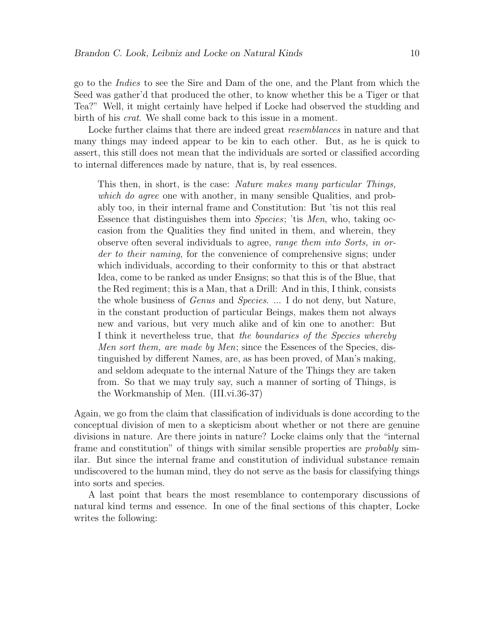go to the Indies to see the Sire and Dam of the one, and the Plant from which the Seed was gather'd that produced the other, to know whether this be a Tiger or that Tea?" Well, it might certainly have helped if Locke had observed the studding and birth of his crat. We shall come back to this issue in a moment.

Locke further claims that there are indeed great *resemblances* in nature and that many things may indeed appear to be kin to each other. But, as he is quick to assert, this still does not mean that the individuals are sorted or classified according to internal differences made by nature, that is, by real essences.

This then, in short, is the case: Nature makes many particular Things, which do agree one with another, in many sensible Qualities, and probably too, in their internal frame and Constitution: But 'tis not this real Essence that distinguishes them into Species; 'tis Men, who, taking occasion from the Qualities they find united in them, and wherein, they observe often several individuals to agree, range them into Sorts, in order to their naming, for the convenience of comprehensive signs; under which individuals, according to their conformity to this or that abstract Idea, come to be ranked as under Ensigns; so that this is of the Blue, that the Red regiment; this is a Man, that a Drill: And in this, I think, consists the whole business of Genus and Species. ... I do not deny, but Nature, in the constant production of particular Beings, makes them not always new and various, but very much alike and of kin one to another: But I think it nevertheless true, that the boundaries of the Species whereby Men sort them, are made by Men; since the Essences of the Species, distinguished by different Names, are, as has been proved, of Man's making, and seldom adequate to the internal Nature of the Things they are taken from. So that we may truly say, such a manner of sorting of Things, is the Workmanship of Men. (III.vi.36-37)

Again, we go from the claim that classification of individuals is done according to the conceptual division of men to a skepticism about whether or not there are genuine divisions in nature. Are there joints in nature? Locke claims only that the "internal frame and constitution" of things with similar sensible properties are *probably* similar. But since the internal frame and constitution of individual substance remain undiscovered to the human mind, they do not serve as the basis for classifying things into sorts and species.

A last point that bears the most resemblance to contemporary discussions of natural kind terms and essence. In one of the final sections of this chapter, Locke writes the following: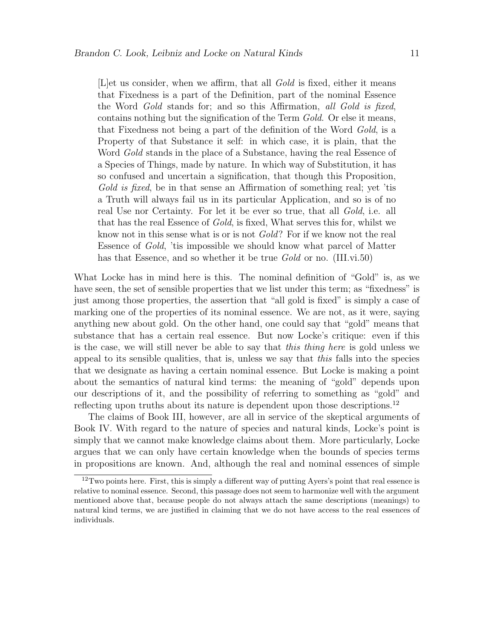[L]et us consider, when we affirm, that all Gold is fixed, either it means that Fixedness is a part of the Definition, part of the nominal Essence the Word Gold stands for; and so this Affirmation, all Gold is fixed, contains nothing but the signification of the Term Gold. Or else it means, that Fixedness not being a part of the definition of the Word Gold, is a Property of that Substance it self: in which case, it is plain, that the Word Gold stands in the place of a Substance, having the real Essence of a Species of Things, made by nature. In which way of Substitution, it has so confused and uncertain a signification, that though this Proposition, Gold is fixed, be in that sense an Affirmation of something real; yet 'tis a Truth will always fail us in its particular Application, and so is of no real Use nor Certainty. For let it be ever so true, that all Gold, i.e. all that has the real Essence of Gold, is fixed, What serves this for, whilst we know not in this sense what is or is not Gold? For if we know not the real Essence of Gold, 'tis impossible we should know what parcel of Matter has that Essence, and so whether it be true Gold or no. (III.vi.50)

What Locke has in mind here is this. The nominal definition of "Gold" is, as we have seen, the set of sensible properties that we list under this term; as "fixedness" is just among those properties, the assertion that "all gold is fixed" is simply a case of marking one of the properties of its nominal essence. We are not, as it were, saying anything new about gold. On the other hand, one could say that "gold" means that substance that has a certain real essence. But now Locke's critique: even if this is the case, we will still never be able to say that this thing here is gold unless we appeal to its sensible qualities, that is, unless we say that this falls into the species that we designate as having a certain nominal essence. But Locke is making a point about the semantics of natural kind terms: the meaning of "gold" depends upon our descriptions of it, and the possibility of referring to something as "gold" and reflecting upon truths about its nature is dependent upon those descriptions.<sup>12</sup>

The claims of Book III, however, are all in service of the skeptical arguments of Book IV. With regard to the nature of species and natural kinds, Locke's point is simply that we cannot make knowledge claims about them. More particularly, Locke argues that we can only have certain knowledge when the bounds of species terms in propositions are known. And, although the real and nominal essences of simple

 $12$ Two points here. First, this is simply a different way of putting Ayers's point that real essence is relative to nominal essence. Second, this passage does not seem to harmonize well with the argument mentioned above that, because people do not always attach the same descriptions (meanings) to natural kind terms, we are justified in claiming that we do not have access to the real essences of individuals.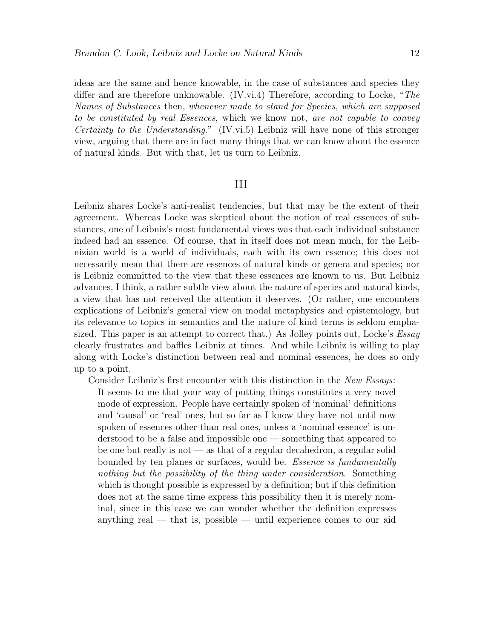ideas are the same and hence knowable, in the case of substances and species they differ and are therefore unknowable.  $(IV.vi.4)$  Therefore, according to Locke, "The Names of Substances then, whenever made to stand for Species, which are supposed to be constituted by real Essences, which we know not, are not capable to convey Certainty to the Understanding." (IV.vi.5) Leibniz will have none of this stronger view, arguing that there are in fact many things that we can know about the essence of natural kinds. But with that, let us turn to Leibniz.

#### III

Leibniz shares Locke's anti-realist tendencies, but that may be the extent of their agreement. Whereas Locke was skeptical about the notion of real essences of substances, one of Leibniz's most fundamental views was that each individual substance indeed had an essence. Of course, that in itself does not mean much, for the Leibnizian world is a world of individuals, each with its own essence; this does not necessarily mean that there are essences of natural kinds or genera and species; nor is Leibniz committed to the view that these essences are known to us. But Leibniz advances, I think, a rather subtle view about the nature of species and natural kinds, a view that has not received the attention it deserves. (Or rather, one encounters explications of Leibniz's general view on modal metaphysics and epistemology, but its relevance to topics in semantics and the nature of kind terms is seldom emphasized. This paper is an attempt to correct that.) As Jolley points out, Locke's Essay clearly frustrates and baffles Leibniz at times. And while Leibniz is willing to play along with Locke's distinction between real and nominal essences, he does so only up to a point.

Consider Leibniz's first encounter with this distinction in the New Essays: It seems to me that your way of putting things constitutes a very novel mode of expression. People have certainly spoken of 'nominal' definitions and 'causal' or 'real' ones, but so far as I know they have not until now spoken of essences other than real ones, unless a 'nominal essence' is understood to be a false and impossible one — something that appeared to be one but really is not — as that of a regular decahedron, a regular solid bounded by ten planes or surfaces, would be. *Essence is fundamentally* nothing but the possibility of the thing under consideration. Something which is thought possible is expressed by a definition; but if this definition does not at the same time express this possibility then it is merely nominal, since in this case we can wonder whether the definition expresses anything real  $-$  that is, possible  $-$  until experience comes to our aid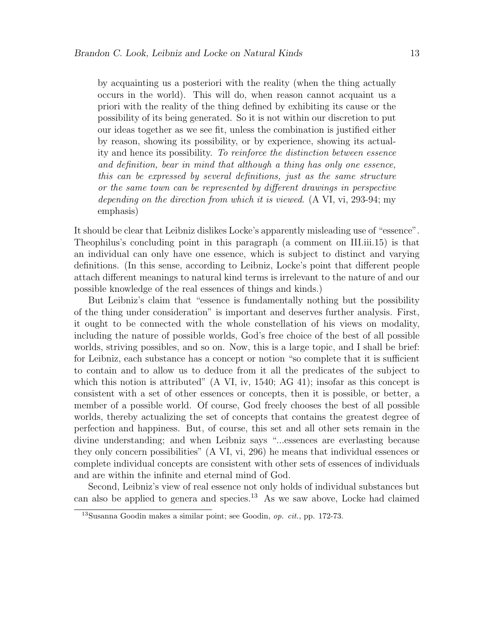by acquainting us a posteriori with the reality (when the thing actually occurs in the world). This will do, when reason cannot acquaint us a priori with the reality of the thing defined by exhibiting its cause or the possibility of its being generated. So it is not within our discretion to put our ideas together as we see fit, unless the combination is justified either by reason, showing its possibility, or by experience, showing its actuality and hence its possibility. To reinforce the distinction between essence and definition, bear in mind that although a thing has only one essence, this can be expressed by several definitions, just as the same structure or the same town can be represented by different drawings in perspective depending on the direction from which it is viewed. (A VI, vi, 293-94; my emphasis)

It should be clear that Leibniz dislikes Locke's apparently misleading use of "essence". Theophilus's concluding point in this paragraph (a comment on III.iii.15) is that an individual can only have one essence, which is subject to distinct and varying definitions. (In this sense, according to Leibniz, Locke's point that different people attach different meanings to natural kind terms is irrelevant to the nature of and our possible knowledge of the real essences of things and kinds.)

But Leibniz's claim that "essence is fundamentally nothing but the possibility of the thing under consideration" is important and deserves further analysis. First, it ought to be connected with the whole constellation of his views on modality, including the nature of possible worlds, God's free choice of the best of all possible worlds, striving possibles, and so on. Now, this is a large topic, and I shall be brief: for Leibniz, each substance has a concept or notion "so complete that it is sufficient to contain and to allow us to deduce from it all the predicates of the subject to which this notion is attributed" (A VI, iv, 1540; AG 41); insofar as this concept is consistent with a set of other essences or concepts, then it is possible, or better, a member of a possible world. Of course, God freely chooses the best of all possible worlds, thereby actualizing the set of concepts that contains the greatest degree of perfection and happiness. But, of course, this set and all other sets remain in the divine understanding; and when Leibniz says "...essences are everlasting because they only concern possibilities" (A VI, vi, 296) he means that individual essences or complete individual concepts are consistent with other sets of essences of individuals and are within the infinite and eternal mind of God.

Second, Leibniz's view of real essence not only holds of individual substances but can also be applied to genera and species.<sup>13</sup> As we saw above, Locke had claimed

<sup>13</sup>Susanna Goodin makes a similar point; see Goodin, op. cit., pp. 172-73.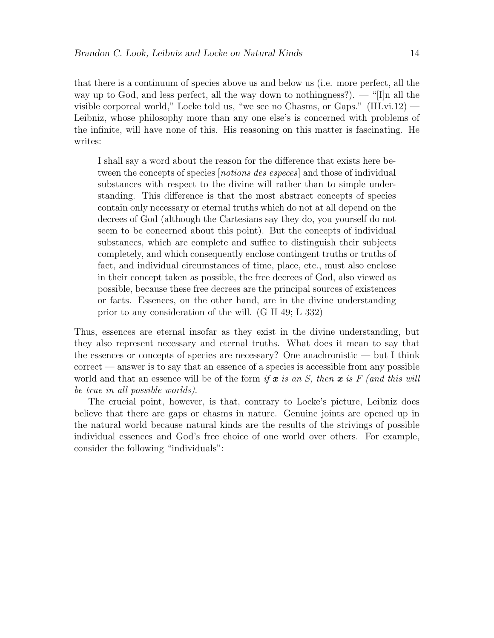that there is a continuum of species above us and below us (i.e. more perfect, all the way up to God, and less perfect, all the way down to nothingness?). — "[I]n all the visible corporeal world," Locke told us, "we see no Chasms, or Gaps."  $(III.vi.12)$  — Leibniz, whose philosophy more than any one else's is concerned with problems of the infinite, will have none of this. His reasoning on this matter is fascinating. He writes:

I shall say a word about the reason for the difference that exists here between the concepts of species [*notions des especes*] and those of individual substances with respect to the divine will rather than to simple understanding. This difference is that the most abstract concepts of species contain only necessary or eternal truths which do not at all depend on the decrees of God (although the Cartesians say they do, you yourself do not seem to be concerned about this point). But the concepts of individual substances, which are complete and suffice to distinguish their subjects completely, and which consequently enclose contingent truths or truths of fact, and individual circumstances of time, place, etc., must also enclose in their concept taken as possible, the free decrees of God, also viewed as possible, because these free decrees are the principal sources of existences or facts. Essences, on the other hand, are in the divine understanding prior to any consideration of the will. (G II 49; L 332)

Thus, essences are eternal insofar as they exist in the divine understanding, but they also represent necessary and eternal truths. What does it mean to say that the essences or concepts of species are necessary? One anachronistic — but I think correct — answer is to say that an essence of a species is accessible from any possible world and that an essence will be of the form if  $x$  is an S, then  $x$  is F (and this will be true in all possible worlds).

The crucial point, however, is that, contrary to Locke's picture, Leibniz does believe that there are gaps or chasms in nature. Genuine joints are opened up in the natural world because natural kinds are the results of the strivings of possible individual essences and God's free choice of one world over others. For example, consider the following "individuals":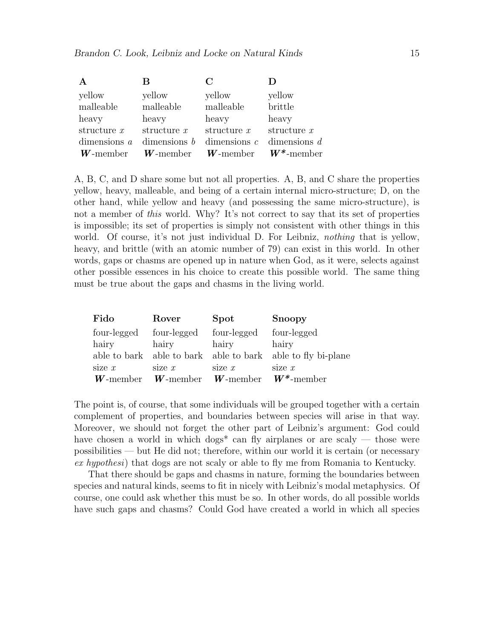| A                | В             | $\mathbf C$                   |                |
|------------------|---------------|-------------------------------|----------------|
| yellow           | yellow        | yellow                        | yellow         |
| malleable        | malleable     | malleable                     | brittle        |
| heavy            | heavy         | heavy                         | heavy          |
| structure $x$    | structure $x$ | structure $x$                 | structure $x$  |
| $dimensions$ $a$ |               | dimensions $b$ dimensions $c$ | dimensions $d$ |
| $W$ -member      | $W$ -member   | $W$ -member                   | $W^*$ -member  |

A, B, C, and D share some but not all properties. A, B, and C share the properties yellow, heavy, malleable, and being of a certain internal micro-structure; D, on the other hand, while yellow and heavy (and possessing the same micro-structure), is not a member of this world. Why? It's not correct to say that its set of properties is impossible; its set of properties is simply not consistent with other things in this world. Of course, it's not just individual D. For Leibniz, *nothing* that is yellow, heavy, and brittle (with an atomic number of 79) can exist in this world. In other words, gaps or chasms are opened up in nature when God, as it were, selects against other possible essences in his choice to create this possible world. The same thing must be true about the gaps and chasms in the living world.

| Fido        | Rover       | Spot        | <b>Snoopy</b>                                               |
|-------------|-------------|-------------|-------------------------------------------------------------|
| four-legged | four-legged | four-legged | four-legged                                                 |
| hairy       | hairy       | hairy       | hairy                                                       |
|             |             |             | able to bark able to bark able to bark able to fly bi-plane |
| size $x$    | size $x$    | size $x$    | size $x$                                                    |
|             |             |             | W-member W-member W-member $W^*$ -member                    |

The point is, of course, that some individuals will be grouped together with a certain complement of properties, and boundaries between species will arise in that way. Moreover, we should not forget the other part of Leibniz's argument: God could have chosen a world in which dogs<sup>\*</sup> can fly airplanes or are scaly — those were possibilities — but He did not; therefore, within our world it is certain (or necessary ex hypothesi) that dogs are not scaly or able to fly me from Romania to Kentucky.

That there should be gaps and chasms in nature, forming the boundaries between species and natural kinds, seems to fit in nicely with Leibniz's modal metaphysics. Of course, one could ask whether this must be so. In other words, do all possible worlds have such gaps and chasms? Could God have created a world in which all species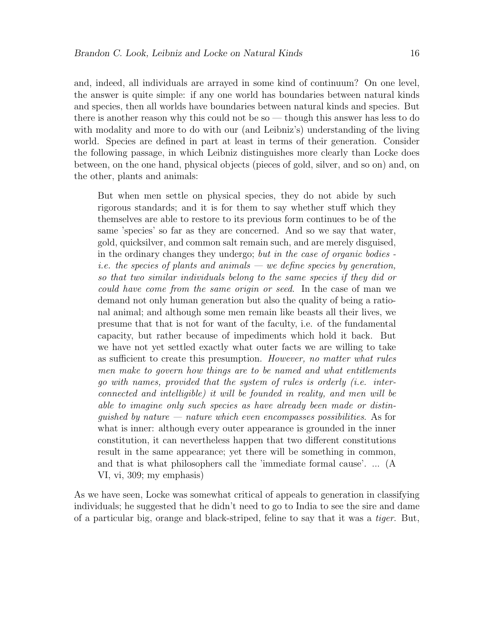and, indeed, all individuals are arrayed in some kind of continuum? On one level, the answer is quite simple: if any one world has boundaries between natural kinds and species, then all worlds have boundaries between natural kinds and species. But there is another reason why this could not be so — though this answer has less to do with modality and more to do with our (and Leibniz's) understanding of the living world. Species are defined in part at least in terms of their generation. Consider the following passage, in which Leibniz distinguishes more clearly than Locke does between, on the one hand, physical objects (pieces of gold, silver, and so on) and, on the other, plants and animals:

But when men settle on physical species, they do not abide by such rigorous standards; and it is for them to say whether stuff which they themselves are able to restore to its previous form continues to be of the same 'species' so far as they are concerned. And so we say that water, gold, quicksilver, and common salt remain such, and are merely disguised, in the ordinary changes they undergo; but in the case of organic bodies *i.e.* the species of plants and animals — we define species by generation, so that two similar individuals belong to the same species if they did or could have come from the same origin or seed. In the case of man we demand not only human generation but also the quality of being a rational animal; and although some men remain like beasts all their lives, we presume that that is not for want of the faculty, i.e. of the fundamental capacity, but rather because of impediments which hold it back. But we have not yet settled exactly what outer facts we are willing to take as sufficient to create this presumption. However, no matter what rules men make to govern how things are to be named and what entitlements go with names, provided that the system of rules is orderly (i.e. interconnected and intelligible) it will be founded in reality, and men will be able to imagine only such species as have already been made or distinquished by nature — nature which even encompasses possibilities. As for what is inner: although every outer appearance is grounded in the inner constitution, it can nevertheless happen that two different constitutions result in the same appearance; yet there will be something in common, and that is what philosophers call the 'immediate formal cause'. ... (A VI, vi, 309; my emphasis)

As we have seen, Locke was somewhat critical of appeals to generation in classifying individuals; he suggested that he didn't need to go to India to see the sire and dame of a particular big, orange and black-striped, feline to say that it was a tiger. But,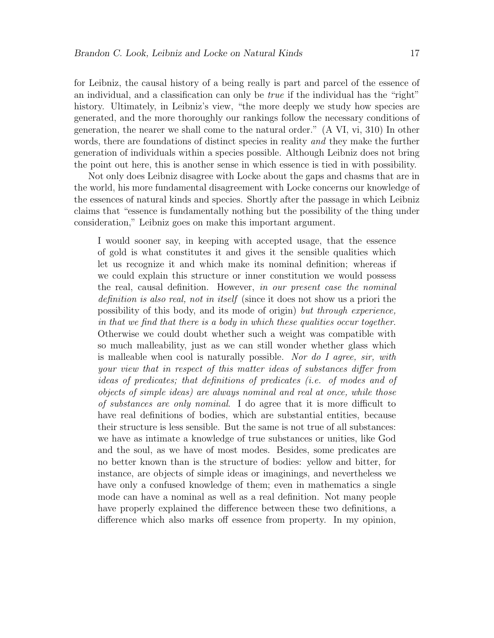for Leibniz, the causal history of a being really is part and parcel of the essence of an individual, and a classification can only be true if the individual has the "right" history. Ultimately, in Leibniz's view, "the more deeply we study how species are generated, and the more thoroughly our rankings follow the necessary conditions of generation, the nearer we shall come to the natural order." (A VI, vi, 310) In other words, there are foundations of distinct species in reality *and* they make the further generation of individuals within a species possible. Although Leibniz does not bring the point out here, this is another sense in which essence is tied in with possibility.

Not only does Leibniz disagree with Locke about the gaps and chasms that are in the world, his more fundamental disagreement with Locke concerns our knowledge of the essences of natural kinds and species. Shortly after the passage in which Leibniz claims that "essence is fundamentally nothing but the possibility of the thing under consideration," Leibniz goes on make this important argument.

I would sooner say, in keeping with accepted usage, that the essence of gold is what constitutes it and gives it the sensible qualities which let us recognize it and which make its nominal definition; whereas if we could explain this structure or inner constitution we would possess the real, causal definition. However, in our present case the nominal definition is also real, not in itself (since it does not show us a priori the possibility of this body, and its mode of origin) but through experience, in that we find that there is a body in which these qualities occur together. Otherwise we could doubt whether such a weight was compatible with so much malleability, just as we can still wonder whether glass which is malleable when cool is naturally possible. Nor do I agree, sir, with your view that in respect of this matter ideas of substances differ from ideas of predicates; that definitions of predicates (i.e. of modes and of objects of simple ideas) are always nominal and real at once, while those of substances are only nominal. I do agree that it is more difficult to have real definitions of bodies, which are substantial entities, because their structure is less sensible. But the same is not true of all substances: we have as intimate a knowledge of true substances or unities, like God and the soul, as we have of most modes. Besides, some predicates are no better known than is the structure of bodies: yellow and bitter, for instance, are objects of simple ideas or imaginings, and nevertheless we have only a confused knowledge of them; even in mathematics a single mode can have a nominal as well as a real definition. Not many people have properly explained the difference between these two definitions, a difference which also marks off essence from property. In my opinion,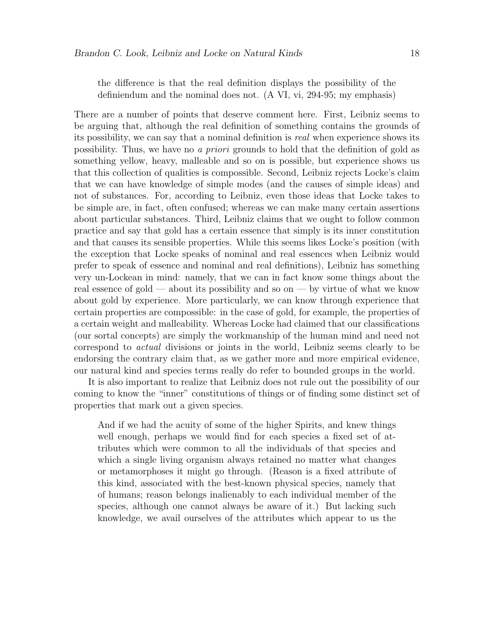the difference is that the real definition displays the possibility of the definiendum and the nominal does not. (A VI, vi, 294-95; my emphasis)

There are a number of points that deserve comment here. First, Leibniz seems to be arguing that, although the real definition of something contains the grounds of its possibility, we can say that a nominal definition is real when experience shows its possibility. Thus, we have no a priori grounds to hold that the definition of gold as something yellow, heavy, malleable and so on is possible, but experience shows us that this collection of qualities is compossible. Second, Leibniz rejects Locke's claim that we can have knowledge of simple modes (and the causes of simple ideas) and not of substances. For, according to Leibniz, even those ideas that Locke takes to be simple are, in fact, often confused; whereas we can make many certain assertions about particular substances. Third, Leibniz claims that we ought to follow common practice and say that gold has a certain essence that simply is its inner constitution and that causes its sensible properties. While this seems likes Locke's position (with the exception that Locke speaks of nominal and real essences when Leibniz would prefer to speak of essence and nominal and real definitions), Leibniz has something very un-Lockean in mind: namely, that we can in fact know some things about the real essence of gold — about its possibility and so on — by virtue of what we know about gold by experience. More particularly, we can know through experience that certain properties are compossible: in the case of gold, for example, the properties of a certain weight and malleability. Whereas Locke had claimed that our classifications (our sortal concepts) are simply the workmanship of the human mind and need not correspond to actual divisions or joints in the world, Leibniz seems clearly to be endorsing the contrary claim that, as we gather more and more empirical evidence, our natural kind and species terms really do refer to bounded groups in the world.

It is also important to realize that Leibniz does not rule out the possibility of our coming to know the "inner" constitutions of things or of finding some distinct set of properties that mark out a given species.

And if we had the acuity of some of the higher Spirits, and knew things well enough, perhaps we would find for each species a fixed set of attributes which were common to all the individuals of that species and which a single living organism always retained no matter what changes or metamorphoses it might go through. (Reason is a fixed attribute of this kind, associated with the best-known physical species, namely that of humans; reason belongs inalienably to each individual member of the species, although one cannot always be aware of it.) But lacking such knowledge, we avail ourselves of the attributes which appear to us the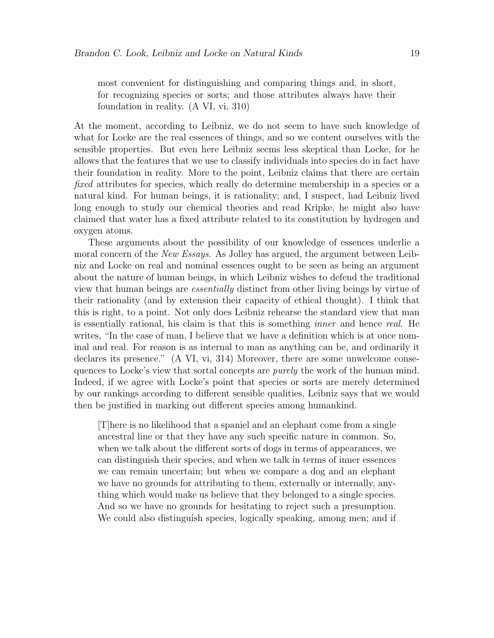most convenient for distinguishing and comparing things and, in short, for recognizing species or sorts; and those attributes always have their foundation in reality. (A VI, vi, 310)

At the moment, according to Leibniz, we do not seem to have such knowledge of what for Locke are the real essences of things, and so we content ourselves with the sensible properties. But even here Leibniz seems less skeptical than Locke, for he allows that the features that we use to classify individuals into species do in fact have their foundation in reality. More to the point, Leibniz claims that there are certain fixed attributes for species, which really do determine membership in a species or a natural kind. For human beings, it is rationality; and, I suspect, had Leibniz lived long enough to study our chemical theories and read Kripke, he might also have claimed that water has a fixed attribute related to its constitution by hydrogen and oxygen atoms.

These arguments about the possibility of our knowledge of essences underlie a moral concern of the *New Essays.* As Jolley has argued, the argument between Leibniz and Locke on real and nominal essences ought to be seen as being an argument about the nature of human beings, in which Leibniz wishes to defend the traditional view that human beings are essentially distinct from other living beings by virtue of their rationality (and by extension their capacity of ethical thought). I think that this is right, to a point. Not only does Leibniz rehearse the standard view that man is essentially rational, his claim is that this is something inner and hence real. He writes, "In the case of man, I believe that we have a definition which is at once nominal and real. For reason is as internal to man as anything can be, and ordinarily it declares its presence." (A VI, vi, 314) Moreover, there are some unwelcome consequences to Locke's view that sortal concepts are purely the work of the human mind. Indeed, if we agree with Locke's point that species or sorts are merely determined by our rankings according to different sensible qualities, Leibniz says that we would then be justified in marking out different species among humankind.

[T]here is no likelihood that a spaniel and an elephant come from a single ancestral line or that they have any such specific nature in common. So, when we talk about the different sorts of dogs in terms of appearances, we can distinguish their species, and when we talk in terms of inner essences we can remain uncertain; but when we compare a dog and an elephant we have no grounds for attributing to them, externally or internally, anything which would make us believe that they belonged to a single species. And so we have no grounds for hesitating to reject such a presumption. We could also distinguish species, logically speaking, among men; and if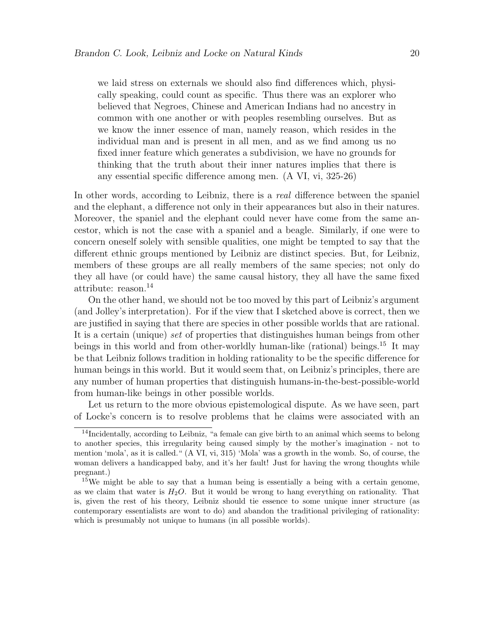we laid stress on externals we should also find differences which, physically speaking, could count as specific. Thus there was an explorer who believed that Negroes, Chinese and American Indians had no ancestry in common with one another or with peoples resembling ourselves. But as we know the inner essence of man, namely reason, which resides in the individual man and is present in all men, and as we find among us no fixed inner feature which generates a subdivision, we have no grounds for thinking that the truth about their inner natures implies that there is any essential specific difference among men. (A VI, vi, 325-26)

In other words, according to Leibniz, there is a *real* difference between the spaniel and the elephant, a difference not only in their appearances but also in their natures. Moreover, the spaniel and the elephant could never have come from the same ancestor, which is not the case with a spaniel and a beagle. Similarly, if one were to concern oneself solely with sensible qualities, one might be tempted to say that the different ethnic groups mentioned by Leibniz are distinct species. But, for Leibniz, members of these groups are all really members of the same species; not only do they all have (or could have) the same causal history, they all have the same fixed attribute: reason.<sup>14</sup>

On the other hand, we should not be too moved by this part of Leibniz's argument (and Jolley's interpretation). For if the view that I sketched above is correct, then we are justified in saying that there are species in other possible worlds that are rational. It is a certain (unique) set of properties that distinguishes human beings from other beings in this world and from other-worldly human-like (rational) beings.<sup>15</sup> It may be that Leibniz follows tradition in holding rationality to be the specific difference for human beings in this world. But it would seem that, on Leibniz's principles, there are any number of human properties that distinguish humans-in-the-best-possible-world from human-like beings in other possible worlds.

Let us return to the more obvious epistemological dispute. As we have seen, part of Locke's concern is to resolve problems that he claims were associated with an

 $14$ Incidentally, according to Leibniz, "a female can give birth to an animal which seems to belong to another species, this irregularity being caused simply by the mother's imagination - not to mention 'mola', as it is called." (A VI, vi, 315) 'Mola' was a growth in the womb. So, of course, the woman delivers a handicapped baby, and it's her fault! Just for having the wrong thoughts while pregnant.)

<sup>15</sup>We might be able to say that a human being is essentially a being with a certain genome, as we claim that water is  $H_2O$ . But it would be wrong to hang everything on rationality. That is, given the rest of his theory, Leibniz should tie essence to some unique inner structure (as contemporary essentialists are wont to do) and abandon the traditional privileging of rationality: which is presumably not unique to humans (in all possible worlds).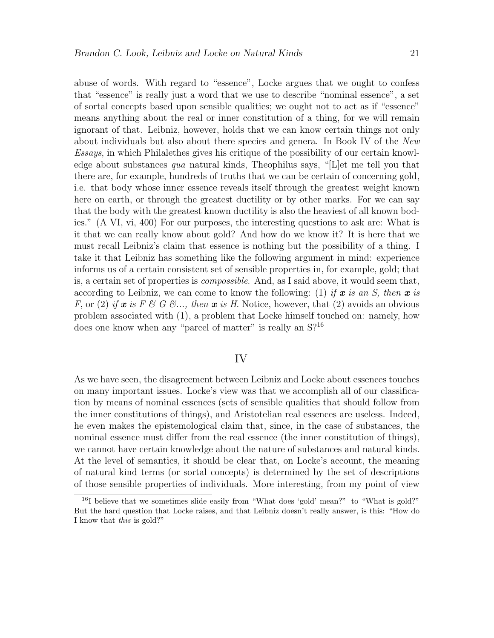abuse of words. With regard to "essence", Locke argues that we ought to confess that "essence" is really just a word that we use to describe "nominal essence", a set of sortal concepts based upon sensible qualities; we ought not to act as if "essence" means anything about the real or inner constitution of a thing, for we will remain ignorant of that. Leibniz, however, holds that we can know certain things not only about individuals but also about there species and genera. In Book IV of the New Essays, in which Philalethes gives his critique of the possibility of our certain knowledge about substances qua natural kinds, Theophilus says, "[L]et me tell you that there are, for example, hundreds of truths that we can be certain of concerning gold, i.e. that body whose inner essence reveals itself through the greatest weight known here on earth, or through the greatest ductility or by other marks. For we can say that the body with the greatest known ductility is also the heaviest of all known bodies." (A VI, vi, 400) For our purposes, the interesting questions to ask are: What is it that we can really know about gold? And how do we know it? It is here that we must recall Leibniz's claim that essence is nothing but the possibility of a thing. I take it that Leibniz has something like the following argument in mind: experience informs us of a certain consistent set of sensible properties in, for example, gold; that is, a certain set of properties is compossible. And, as I said above, it would seem that, according to Leibniz, we can come to know the following: (1) if  $x$  is an S, then  $x$  is F, or (2) if  $x$  is F & G  $\mathcal{C}, \ldots$ , then  $x$  is H. Notice, however, that (2) avoids an obvious problem associated with (1), a problem that Locke himself touched on: namely, how does one know when any "parcel of matter" is really an S?<sup>16</sup>

## IV

As we have seen, the disagreement between Leibniz and Locke about essences touches on many important issues. Locke's view was that we accomplish all of our classification by means of nominal essences (sets of sensible qualities that should follow from the inner constitutions of things), and Aristotelian real essences are useless. Indeed, he even makes the epistemological claim that, since, in the case of substances, the nominal essence must differ from the real essence (the inner constitution of things), we cannot have certain knowledge about the nature of substances and natural kinds. At the level of semantics, it should be clear that, on Locke's account, the meaning of natural kind terms (or sortal concepts) is determined by the set of descriptions of those sensible properties of individuals. More interesting, from my point of view

<sup>&</sup>lt;sup>16</sup>I believe that we sometimes slide easily from "What does 'gold' mean?" to "What is gold?" But the hard question that Locke raises, and that Leibniz doesn't really answer, is this: "How do I know that this is gold?"